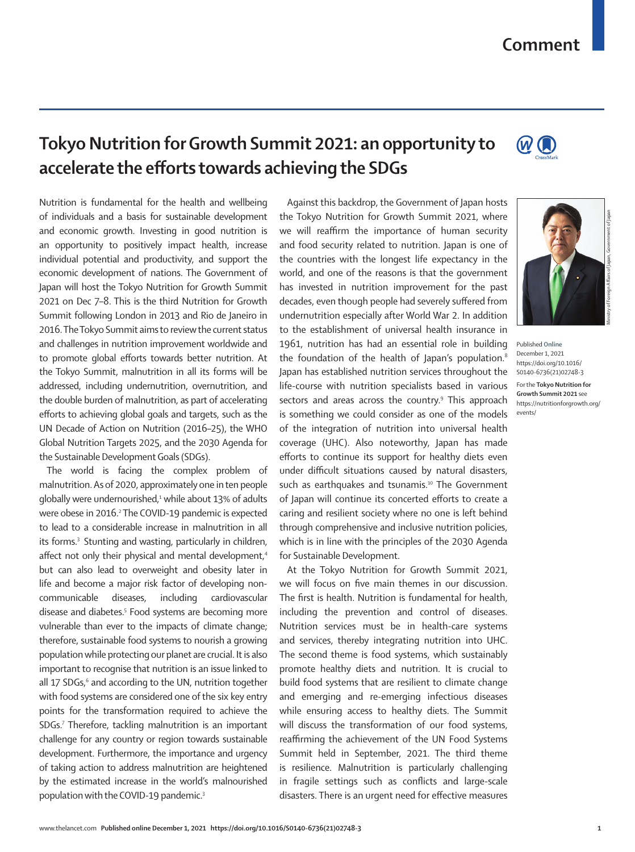## **Comment**

 $(\mathbb{N})$ 

## **Tokyo Nutrition for Growth Summit 2021: an opportunity to accelerate the efforts towards achieving the SDGs**

Nutrition is fundamental for the health and wellbeing of individuals and a basis for sustainable development and economic growth. Investing in good nutrition is an opportunity to positively impact health, increase individual potential and productivity, and support the economic development of nations. The Government of Japan will host the Tokyo Nutrition for Growth Summit 2021 on Dec 7–8. This is the third Nutrition for Growth Summit following London in 2013 and Rio de Janeiro in 2016. The Tokyo Summit aims to review the current status and challenges in nutrition improvement worldwide and to promote global efforts towards better nutrition. At the Tokyo Summit, malnutrition in all its forms will be addressed, including undernutrition, overnutrition, and the double burden of malnutrition, as part of accelerating efforts to achieving global goals and targets, such as the UN Decade of Action on Nutrition (2016–25), the WHO Global Nutrition Targets 2025, and the 2030 Agenda for the Sustainable Development Goals (SDGs).

The world is facing the complex problem of malnutrition. As of 2020, approximately one in ten people globally were undernourished,<sup>1</sup> while about 13% of adults were obese in 2016.<sup>2</sup> The COVID-19 pandemic is expected to lead to a considerable increase in malnutrition in all its forms.<sup>3</sup> Stunting and wasting, particularly in children, affect not only their physical and mental development,<sup>4</sup> but can also lead to overweight and obesity later in life and become a major risk factor of developing noncommunicable diseases, including cardiovascular disease and diabetes.<sup>5</sup> Food systems are becoming more vulnerable than ever to the impacts of climate change; therefore, sustainable food systems to nourish a growing population while protecting our planet are crucial. It is also important to recognise that nutrition is an issue linked to all 17 SDGs,<sup>6</sup> and according to the UN, nutrition together with food systems are considered one of the six key entry points for the transformation required to achieve the SDGs.7 Therefore, tackling malnutrition is an important challenge for any country or region towards sustainable development. Furthermore, the importance and urgency of taking action to address malnutrition are heightened by the estimated increase in the world's malnourished population with the COVID-19 pandemic.<sup>3</sup>

Against this backdrop, the Government of Japan hosts the Tokyo Nutrition for Growth Summit 2021, where we will reaffirm the importance of human security and food security related to nutrition. Japan is one of the countries with the longest life expectancy in the world, and one of the reasons is that the government has invested in nutrition improvement for the past decades, even though people had severely suffered from undernutrition especially after World War 2. In addition to the establishment of universal health insurance in 1961, nutrition has had an essential role in building the foundation of the health of Japan's population.<sup>8</sup> Japan has established nutrition services throughout the life-course with nutrition specialists based in various sectors and areas across the country.<sup>9</sup> This approach is something we could consider as one of the models of the integration of nutrition into universal health coverage (UHC). Also noteworthy, Japan has made efforts to continue its support for healthy diets even under difficult situations caused by natural disasters, such as earthquakes and tsunamis.<sup>10</sup> The Government of Japan will continue its concerted efforts to create a caring and resilient society where no one is left behind through comprehensive and inclusive nutrition policies, which is in line with the principles of the 2030 Agenda for Sustainable Development.

At the Tokyo Nutrition for Growth Summit 2021, we will focus on five main themes in our discussion. The first is health. Nutrition is fundamental for health, including the prevention and control of diseases. Nutrition services must be in health-care systems and services, thereby integrating nutrition into UHC. The second theme is food systems, which sustainably promote healthy diets and nutrition. It is crucial to build food systems that are resilient to climate change and emerging and re-emerging infectious diseases while ensuring access to healthy diets. The Summit will discuss the transformation of our food systems, reaffirming the achievement of the UN Food Systems Summit held in September, 2021. The third theme is resilience. Malnutrition is particularly challenging in fragile settings such as conflicts and large-scale disasters. There is an urgent need for effective measures



Published **Online** December 1, 2021 https://doi.org/10.1016/ S0140-6736(21)02748-3 For the **Tokyo Nutrition for** 

**Growth Summit 2021** see [https://nutritionforgrowth.org/](https://nutritionforgrowth.org/events/) [events/](https://nutritionforgrowth.org/events/)

Ministry of Foreign Affairs of Japan, Government of Japan